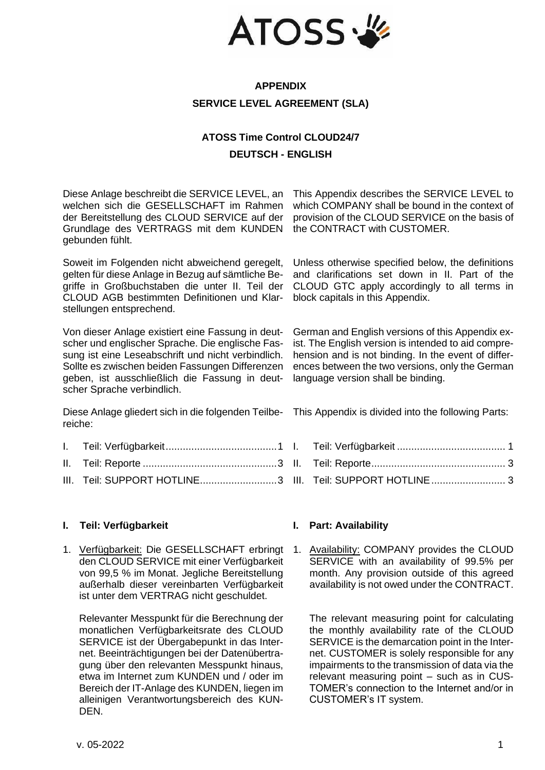

## **APPENDIX SERVICE LEVEL AGREEMENT (SLA)**

# **ATOSS Time Control CLOUD24/7 DEUTSCH - ENGLISH**

Diese Anlage beschreibt die SERVICE LEVEL, an welchen sich die GESELLSCHAFT im Rahmen der Bereitstellung des CLOUD SERVICE auf der Grundlage des VERTRAGS mit dem KUNDEN gebunden fühlt.

Soweit im Folgenden nicht abweichend geregelt, gelten für diese Anlage in Bezug auf sämtliche Begriffe in Großbuchstaben die unter II. Teil der CLOUD AGB bestimmten Definitionen und Klarstellungen entsprechend.

Von dieser Anlage existiert eine Fassung in deutscher und englischer Sprache. Die englische Fassung ist eine Leseabschrift und nicht verbindlich. Sollte es zwischen beiden Fassungen Differenzen geben, ist ausschließlich die Fassung in deutscher Sprache verbindlich.

Diese Anlage gliedert sich in die folgenden Teilbereiche:

- I. [Teil: Verfügbarkeit.......................................1](#page-0-0)
- II. Teil: Reporte [...............................................3](#page-2-0)
- III. [Teil: SUPPORT HOTLINE...........................3](#page-2-1)

## <span id="page-0-0"></span>**I. Teil: Verfügbarkeit I. Part: Availability**

1. Verfügbarkeit: Die GESELLSCHAFT erbringt den CLOUD SERVICE mit einer Verfügbarkeit von 99,5 % im Monat. Jegliche Bereitstellung außerhalb dieser vereinbarten Verfügbarkeit ist unter dem VERTRAG nicht geschuldet.

Relevanter Messpunkt für die Berechnung der monatlichen Verfügbarkeitsrate des CLOUD SERVICE ist der Übergabepunkt in das Internet. Beeinträchtigungen bei der Datenübertragung über den relevanten Messpunkt hinaus, etwa im Internet zum KUNDEN und / oder im Bereich der IT-Anlage des KUNDEN, liegen im alleinigen Verantwortungsbereich des KUN-DEN.

This Appendix describes the SERVICE LEVEL to which COMPANY shall be bound in the context of provision of the CLOUD SERVICE on the basis of the CONTRACT with CUSTOMER.

Unless otherwise specified below, the definitions and clarifications set down in II. Part of the CLOUD GTC apply accordingly to all terms in block capitals in this Appendix.

German and English versions of this Appendix exist. The English version is intended to aid comprehension and is not binding. In the event of differences between the two versions, only the German language version shall be binding.

This Appendix is divided into the following Parts:

I. Teil: Verfügbarkeit [......................................](#page-0-0) 1 II. [Teil: Reporte...............................................](#page-2-0) 3 III. [Teil: SUPPORT HOTLINE..........................](#page-2-1) 3

1. Availability: COMPANY provides the CLOUD SERVICE with an availability of 99.5% per month. Any provision outside of this agreed availability is not owed under the CONTRACT.

The relevant measuring point for calculating the monthly availability rate of the CLOUD SERVICE is the demarcation point in the Internet. CUSTOMER is solely responsible for any impairments to the transmission of data via the relevant measuring point – such as in CUS-TOMER's connection to the Internet and/or in CUSTOMER's IT system.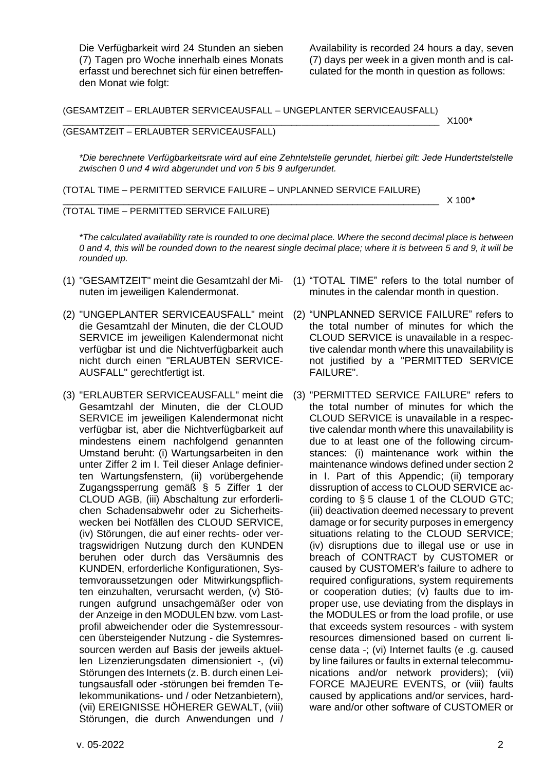Die Verfügbarkeit wird 24 Stunden an sieben (7) Tagen pro Woche innerhalb eines Monats erfasst und berechnet sich für einen betreffenden Monat wie folgt:

Availability is recorded 24 hours a day, seven (7) days per week in a given month and is calculated for the month in question as follows:

(GESAMTZEIT – ERLAUBTER SERVICEAUSFALL – UNGEPLANTER SERVICEAUSFALL)

### \_\_\_\_\_\_\_\_\_\_\_\_\_\_\_\_\_\_\_\_\_\_\_\_\_\_\_\_\_\_\_\_\_\_\_\_\_\_\_\_\_\_\_\_\_\_\_\_\_\_\_\_\_\_\_\_\_\_\_\_\_\_\_\_\_\_\_\_\_\_\_\_\_\_ X100*\** (GESAMTZEIT – ERLAUBTER SERVICEAUSFALL)

*\*Die berechnete Verfügbarkeitsrate wird auf eine Zehntelstelle gerundet, hierbei gilt: Jede Hundertstelstelle zwischen 0 und 4 wird abgerundet und von 5 bis 9 aufgerundet.*

(TOTAL TIME – PERMITTED SERVICE FAILURE – UNPLANNED SERVICE FAILURE)

\_\_\_\_\_\_\_\_\_\_\_\_\_\_\_\_\_\_\_\_\_\_\_\_\_\_\_\_\_\_\_\_\_\_\_\_\_\_\_\_\_\_\_\_\_\_\_\_\_\_\_\_\_\_\_\_\_\_\_\_\_\_\_\_\_\_\_\_\_\_\_\_\_\_ X 100*\**

(TOTAL TIME – PERMITTED SERVICE FAILURE)

*\*The calculated availability rate is rounded to one decimal place. Where the second decimal place is between 0 and 4, this will be rounded down to the nearest single decimal place; where it is between 5 and 9, it will be rounded up.*

- (1) "GESAMTZEIT" meint die Gesamtzahl der Mi-(1) "TOTAL TIME" refers to the total number of nuten im jeweiligen Kalendermonat.
- (2) "UNGEPLANTER SERVICEAUSFALL" meint die Gesamtzahl der Minuten, die der CLOUD SERVICE im jeweiligen Kalendermonat nicht verfügbar ist und die Nichtverfügbarkeit auch nicht durch einen "ERLAUBTEN SERVICE-AUSFALL" gerechtfertigt ist.
- (3) "ERLAUBTER SERVICEAUSFALL" meint die Gesamtzahl der Minuten, die der CLOUD SERVICE im jeweiligen Kalendermonat nicht verfügbar ist, aber die Nichtverfügbarkeit auf mindestens einem nachfolgend genannten Umstand beruht: (i) Wartungsarbeiten in den unter Ziffer [2](#page-2-2) im I. Teil dieser Anlage definierten Wartungsfenstern, (ii) vorübergehende Zugangssperrung gemäß § 5 Ziffer 1 der CLOUD AGB, (iii) Abschaltung zur erforderlichen Schadensabwehr oder zu Sicherheitswecken bei Notfällen des CLOUD SERVICE, (iv) Störungen, die auf einer rechts- oder vertragswidrigen Nutzung durch den KUNDEN beruhen oder durch das Versäumnis des KUNDEN, erforderliche Konfigurationen, Systemvoraussetzungen oder Mitwirkungspflichten einzuhalten, verursacht werden, (v) Störungen aufgrund unsachgemäßer oder von der Anzeige in den MODULEN bzw. vom Lastprofil abweichender oder die Systemressourcen übersteigender Nutzung - die Systemressourcen werden auf Basis der jeweils aktuellen Lizenzierungsdaten dimensioniert -, (vi) Störungen des Internets (z. B. durch einen Leitungsausfall oder -störungen bei fremden Telekommunikations- und / oder Netzanbietern), (vii) EREIGNISSE HÖHERER GEWALT, (viii) Störungen, die durch Anwendungen und /
- minutes in the calendar month in question.
- (2) "UNPLANNED SERVICE FAILURE" refers to the total number of minutes for which the CLOUD SERVICE is unavailable in a respective calendar month where this unavailability is not justified by a "PERMITTED SERVICE FAILURE".
- (3) "PERMITTED SERVICE FAILURE" refers to the total number of minutes for which the CLOUD SERVICE is unavailable in a respective calendar month where this unavailability is due to at least one of the following circumstances: (i) maintenance work within the maintenance windows defined under section [2](#page-2-2) in I. Part of this Appendic; (ii) temporary dissruption of access to CLOUD SERVICE according to § 5 clause 1 of the CLOUD GTC; (iii) deactivation deemed necessary to prevent damage or for security purposes in emergency situations relating to the CLOUD SERVICE; (iv) disruptions due to illegal use or use in breach of CONTRACT by CUSTOMER or caused by CUSTOMER's failure to adhere to required configurations, system requirements or cooperation duties; (v) faults due to improper use, use deviating from the displays in the MODULES or from the load profile, or use that exceeds system resources - with system resources dimensioned based on current license data -; (vi) Internet faults (e .g. caused by line failures or faults in external telecommunications and/or network providers); (vii) FORCE MAJEURE EVENTS, or (viii) faults caused by applications and/or services, hardware and/or other software of CUSTOMER or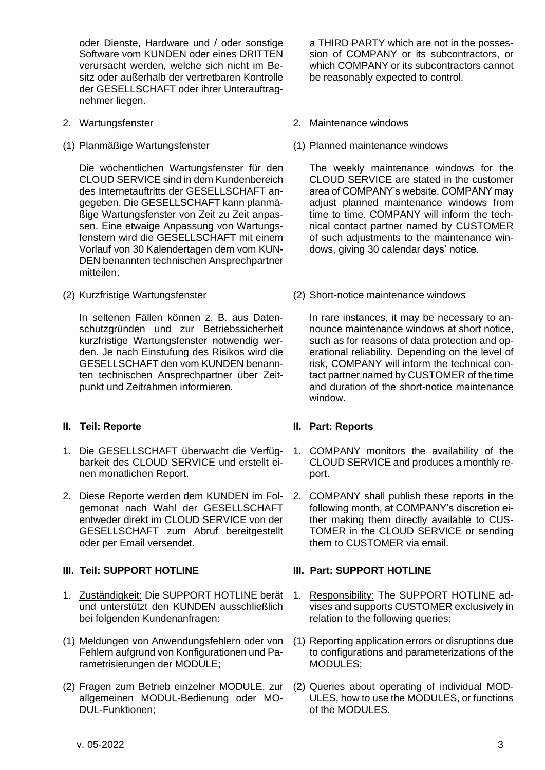oder Dienste, Hardware und / oder sonstige Software vom KUNDEN oder eines DRITTEN verursacht werden, welche sich nicht im Besitz oder außerhalb der vertretbaren Kontrolle der GESELLSCHAFT oder ihrer Unterauftragnehmer liegen.

- 
- 

Die wöchentlichen Wartungsfenster für den CLOUD SERVICE sind in dem Kundenbereich des Internetauftritts der GESELLSCHAFT angegeben. Die GESELLSCHAFT kann planmäßige Wartungsfenster von Zeit zu Zeit anpassen. Eine etwaige Anpassung von Wartungsfenstern wird die GESELLSCHAFT mit einem Vorlauf von 30 Kalendertagen dem vom KUN-DEN benannten technischen Ansprechpartner mitteilen.

In seltenen Fällen können z. B. aus Datenschutzgründen und zur Betriebssicherheit kurzfristige Wartungsfenster notwendig werden. Je nach Einstufung des Risikos wird die GESELLSCHAFT den vom KUNDEN benannten technischen Ansprechpartner über Zeitpunkt und Zeitrahmen informieren.

## <span id="page-2-0"></span>**II. Teil: Reporte II. Part: Reports**

- 1. Die GESELLSCHAFT überwacht die Verfügbarkeit des CLOUD SERVICE und erstellt einen monatlichen Report.
- 2. Diese Reporte werden dem KUNDEN im Folgemonat nach Wahl der GESELLSCHAFT entweder direkt im CLOUD SERVICE von der GESELLSCHAFT zum Abruf bereitgestellt oder per Email versendet.

- 1. Zuständigkeit: Die SUPPORT HOTLINE berät und unterstützt den KUNDEN ausschließlich bei folgenden Kundenanfragen:
- (1) Meldungen von Anwendungsfehlern oder von Fehlern aufgrund von Konfigurationen und Parametrisierungen der MODULE;
- (2) Fragen zum Betrieb einzelner MODULE, zur allgemeinen MODUL-Bedienung oder MO-DUL-Funktionen;

a THIRD PARTY which are not in the possession of COMPANY or its subcontractors, or which COMPANY or its subcontractors cannot be reasonably expected to control.

### <span id="page-2-2"></span>2. Wartungsfenster 2. Maintenance windows

(1) Planmäßige Wartungsfenster (1) Planned maintenance windows

The weekly maintenance windows for the CLOUD SERVICE are stated in the customer area of COMPANY's website. COMPANY may adjust planned maintenance windows from time to time. COMPANY will inform the technical contact partner named by CUSTOMER of such adjustments to the maintenance windows, giving 30 calendar days' notice.

(2) Kurzfristige Wartungsfenster (2) Short-notice maintenance windows

In rare instances, it may be necessary to announce maintenance windows at short notice, such as for reasons of data protection and operational reliability. Depending on the level of risk, COMPANY will inform the technical contact partner named by CUSTOMER of the time and duration of the short-notice maintenance window.

- 1. COMPANY monitors the availability of the CLOUD SERVICE and produces a monthly report.
- 2. COMPANY shall publish these reports in the following month, at COMPANY's discretion either making them directly available to CUS-TOMER in the CLOUD SERVICE or sending them to CUSTOMER via email.

## <span id="page-2-1"></span>**III. Teil: SUPPORT HOTLINE III. Part: SUPPORT HOTLINE**

- 1. Responsibility: The SUPPORT HOTLINE advises and supports CUSTOMER exclusively in relation to the following queries:
- (1) Reporting application errors or disruptions due to configurations and parameterizations of the MODULES;
- (2) Queries about operating of individual MOD-ULES, how to use the MODULES, or functions of the MODULES.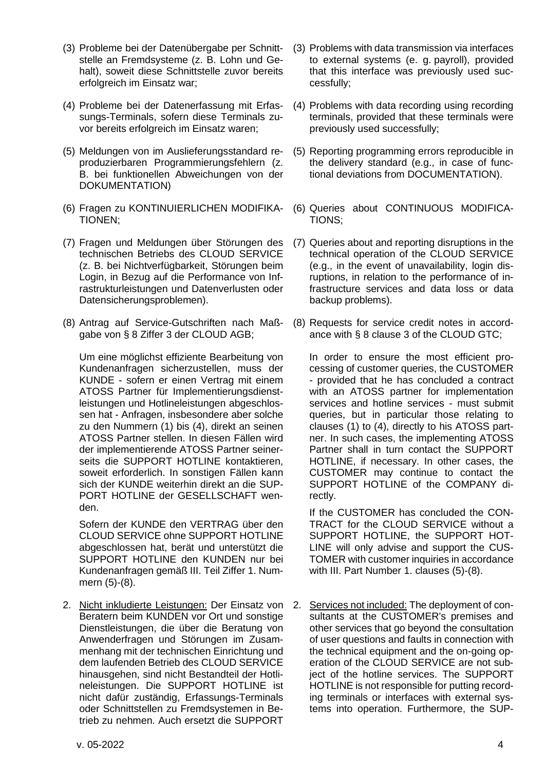- (3) Probleme bei der Datenübergabe per Schnittstelle an Fremdsysteme (z. B. Lohn und Gehalt), soweit diese Schnittstelle zuvor bereits erfolgreich im Einsatz war;
- (4) Probleme bei der Datenerfassung mit Erfassungs-Terminals, sofern diese Terminals zuvor bereits erfolgreich im Einsatz waren;
- (5) Meldungen von im Auslieferungsstandard reproduzierbaren Programmierungsfehlern (z. B. bei funktionellen Abweichungen von der DOKUMENTATION)
- (6) Fragen zu KONTINUIERLICHEN MODIFIKA-TIONEN;
- (7) Fragen und Meldungen über Störungen des technischen Betriebs des CLOUD SERVICE (z. B. bei Nichtverfügbarkeit, Störungen beim Login, in Bezug auf die Performance von Infrastrukturleistungen und Datenverlusten oder Datensicherungsproblemen).
- (8) Antrag auf Service-Gutschriften nach Maßgabe von § 8 Ziffer 3 der CLOUD AGB;

Um eine möglichst effiziente Bearbeitung von Kundenanfragen sicherzustellen, muss der KUNDE - sofern er einen Vertrag mit einem ATOSS Partner für Implementierungsdienstleistungen und Hotlineleistungen abgeschlossen hat - Anfragen, insbesondere aber solche zu den Nummern (1) bis (4), direkt an seinen ATOSS Partner stellen. In diesen Fällen wird der implementierende ATOSS Partner seinerseits die SUPPORT HOTLINE kontaktieren, soweit erforderlich. In sonstigen Fällen kann sich der KUNDE weiterhin direkt an die SUP-PORT HOTLINE der GESELLSCHAFT wenden.

Sofern der KUNDE den VERTRAG über den CLOUD SERVICE ohne SUPPORT HOTLINE abgeschlossen hat, berät und unterstützt die SUPPORT HOTLINE den KUNDEN nur bei Kundenanfragen gemäß III. Teil Ziffer 1. Nummern (5)-(8).

2. Nicht inkludierte Leistungen: Der Einsatz von Beratern beim KUNDEN vor Ort und sonstige Dienstleistungen, die über die Beratung von Anwenderfragen und Störungen im Zusammenhang mit der technischen Einrichtung und dem laufenden Betrieb des CLOUD SERVICE hinausgehen, sind nicht Bestandteil der Hotlineleistungen. Die SUPPORT HOTLINE ist nicht dafür zuständig, Erfassungs-Terminals oder Schnittstellen zu Fremdsystemen in Betrieb zu nehmen. Auch ersetzt die SUPPORT

- (3) Problems with data transmission via interfaces to external systems (e. g. payroll), provided that this interface was previously used successfully;
- (4) Problems with data recording using recording terminals, provided that these terminals were previously used successfully;
- (5) Reporting programming errors reproducible in the delivery standard (e.g., in case of functional deviations from DOCUMENTATION).
- (6) Queries about CONTINUOUS MODIFICA-TIONS;
- (7) Queries about and reporting disruptions in the technical operation of the CLOUD SERVICE (e.g., in the event of unavailability, login disruptions, in relation to the performance of infrastructure services and data loss or data backup problems).
- (8) Requests for service credit notes in accordance with § 8 clause 3 of the CLOUD GTC;

In order to ensure the most efficient processing of customer queries, the CUSTOMER - provided that he has concluded a contract with an ATOSS partner for implementation services and hotline services - must submit queries, but in particular those relating to clauses (1) to (4), directly to his ATOSS partner. In such cases, the implementing ATOSS Partner shall in turn contact the SUPPORT HOTLINE, if necessary. In other cases, the CUSTOMER may continue to contact the SUPPORT HOTLINE of the COMPANY directly.

If the CUSTOMER has concluded the CON-TRACT for the CLOUD SERVICE without a SUPPORT HOTLINE, the SUPPORT HOT-LINE will only advise and support the CUS-TOMER with customer inquiries in accordance with III. Part Number 1. clauses (5)-(8).

2. Services not included: The deployment of consultants at the CUSTOMER's premises and other services that go beyond the consultation of user questions and faults in connection with the technical equipment and the on-going operation of the CLOUD SERVICE are not subject of the hotline services. The SUPPORT HOTLINE is not responsible for putting recording terminals or interfaces with external systems into operation. Furthermore, the SUP-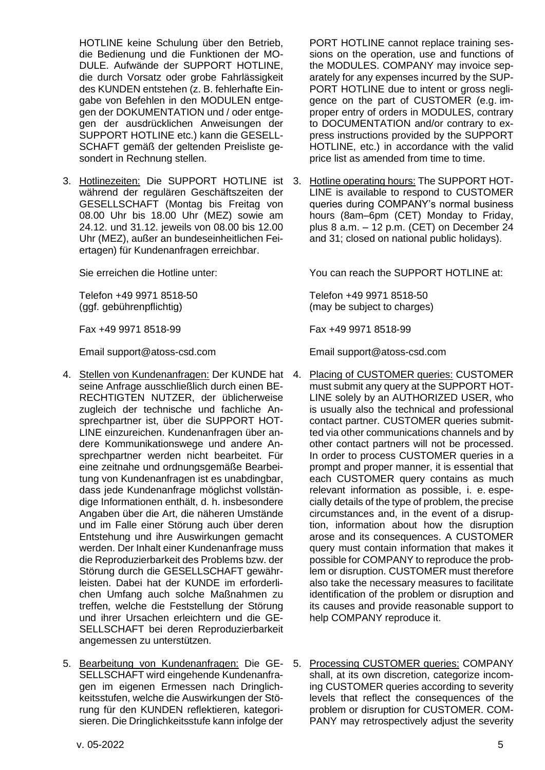HOTLINE keine Schulung über den Betrieb, die Bedienung und die Funktionen der MO-DULE. Aufwände der SUPPORT HOTLINE, die durch Vorsatz oder grobe Fahrlässigkeit des KUNDEN entstehen (z. B. fehlerhafte Eingabe von Befehlen in den MODULEN entgegen der DOKUMENTATION und / oder entgegen der ausdrücklichen Anweisungen der SUPPORT HOTLINE etc.) kann die GESELL-SCHAFT gemäß der geltenden Preisliste gesondert in Rechnung stellen.

3. Hotlinezeiten: Die SUPPORT HOTLINE ist während der regulären Geschäftszeiten der GESELLSCHAFT (Montag bis Freitag von 08.00 Uhr bis 18.00 Uhr (MEZ) sowie am 24.12. und 31.12. jeweils von 08.00 bis 12.00 Uhr (MEZ), außer an bundeseinheitlichen Feiertagen) für Kundenanfragen erreichbar.

Telefon +49 9971 8518-50 (ggf. gebührenpflichtig)

Fax +49 9971 8518-99 Fax +49 9971 8518-99

- 4. Stellen von Kundenanfragen: Der KUNDE hat seine Anfrage ausschließlich durch einen BE-RECHTIGTEN NUTZER, der üblicherweise zugleich der technische und fachliche Ansprechpartner ist, über die SUPPORT HOT-LINE einzureichen. Kundenanfragen über andere Kommunikationswege und andere Ansprechpartner werden nicht bearbeitet. Für eine zeitnahe und ordnungsgemäße Bearbeitung von Kundenanfragen ist es unabdingbar, dass jede Kundenanfrage möglichst vollständige Informationen enthält, d. h. insbesondere Angaben über die Art, die näheren Umstände und im Falle einer Störung auch über deren Entstehung und ihre Auswirkungen gemacht werden. Der Inhalt einer Kundenanfrage muss die Reproduzierbarkeit des Problems bzw. der Störung durch die GESELLSCHAFT gewährleisten. Dabei hat der KUNDE im erforderlichen Umfang auch solche Maßnahmen zu treffen, welche die Feststellung der Störung und ihrer Ursachen erleichtern und die GE-SELLSCHAFT bei deren Reproduzierbarkeit angemessen zu unterstützen.
- 5. Bearbeitung von Kundenanfragen: Die GE-SELLSCHAFT wird eingehende Kundenanfragen im eigenen Ermessen nach Dringlichkeitsstufen, welche die Auswirkungen der Störung für den KUNDEN reflektieren, kategorisieren. Die Dringlichkeitsstufe kann infolge der

PORT HOTLINE cannot replace training sessions on the operation, use and functions of the MODULES. COMPANY may invoice separately for any expenses incurred by the SUP-PORT HOTLINE due to intent or gross negligence on the part of CUSTOMER (e.g. improper entry of orders in MODULES, contrary to DOCUMENTATION and/or contrary to express instructions provided by the SUPPORT HOTLINE, etc.) in accordance with the valid price list as amended from time to time.

3. Hotline operating hours: The SUPPORT HOT-LINE is available to respond to CUSTOMER queries during COMPANY's normal business hours (8am–6pm (CET) Monday to Friday, plus 8 a.m. – 12 p.m. (CET) on December 24 and 31; closed on national public holidays).

Sie erreichen die Hotline unter: You can reach the SUPPORT HOTLINE at:

Telefon +49 9971 8518-50 (may be subject to charges)

Email support@atoss-csd.com Email support@atoss-csd.com

- 4. Placing of CUSTOMER queries: CUSTOMER must submit any query at the SUPPORT HOT-LINE solely by an AUTHORIZED USER, who is usually also the technical and professional contact partner. CUSTOMER queries submitted via other communications channels and by other contact partners will not be processed. In order to process CUSTOMER queries in a prompt and proper manner, it is essential that each CUSTOMER query contains as much relevant information as possible, i. e. especially details of the type of problem, the precise circumstances and, in the event of a disruption, information about how the disruption arose and its consequences. A CUSTOMER query must contain information that makes it possible for COMPANY to reproduce the problem or disruption. CUSTOMER must therefore also take the necessary measures to facilitate identification of the problem or disruption and its causes and provide reasonable support to help COMPANY reproduce it.
- 5. Processing CUSTOMER queries: COMPANY shall, at its own discretion, categorize incoming CUSTOMER queries according to severity levels that reflect the consequences of the problem or disruption for CUSTOMER. COM-PANY may retrospectively adjust the severity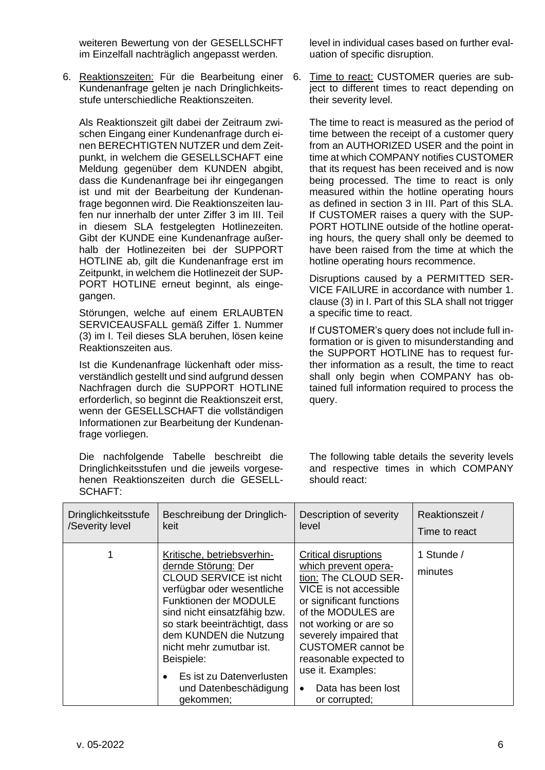weiteren Bewertung von der GESELLSCHFT im Einzelfall nachträglich angepasst werden.

6. Reaktionszeiten: Für die Bearbeitung einer Kundenanfrage gelten je nach Dringlichkeitsstufe unterschiedliche Reaktionszeiten.

Als Reaktionszeit gilt dabei der Zeitraum zwischen Eingang einer Kundenanfrage durch einen BERECHTIGTEN NUTZER und dem Zeitpunkt, in welchem die GESELLSCHAFT eine Meldung gegenüber dem KUNDEN abgibt, dass die Kundenanfrage bei ihr eingegangen ist und mit der Bearbeitung der Kundenanfrage begonnen wird. Die Reaktionszeiten laufen nur innerhalb der unter Ziffer 3 im III. Teil in diesem SLA festgelegten Hotlinezeiten. Gibt der KUNDE eine Kundenanfrage außerhalb der Hotlinezeiten bei der SUPPORT HOTLINE ab, gilt die Kundenanfrage erst im Zeitpunkt, in welchem die Hotlinezeit der SUP-PORT HOTLINE erneut beginnt, als eingegangen.

Störungen, welche auf einem ERLAUBTEN SERVICEAUSFALL gemäß Ziffer 1. Nummer (3) im I. Teil dieses SLA beruhen, lösen keine Reaktionszeiten aus.

Ist die Kundenanfrage lückenhaft oder missverständlich gestellt und sind aufgrund dessen Nachfragen durch die SUPPORT HOTLINE erforderlich, so beginnt die Reaktionszeit erst, wenn der GESELLSCHAFT die vollständigen Informationen zur Bearbeitung der Kundenanfrage vorliegen.

Die nachfolgende Tabelle beschreibt die Dringlichkeitsstufen und die jeweils vorgesehenen Reaktionszeiten durch die GESELL-SCHAFT:

level in individual cases based on further evaluation of specific disruption.

Time to react: CUSTOMER queries are subject to different times to react depending on their severity level.

The time to react is measured as the period of time between the receipt of a customer query from an AUTHORIZED USER and the point in time at which COMPANY notifies CUSTOMER that its request has been received and is now being processed. The time to react is only measured within the hotline operating hours as defined in section 3 in III. Part of this SLA. If CUSTOMER raises a query with the SUP-PORT HOTLINE outside of the hotline operating hours, the query shall only be deemed to have been raised from the time at which the hotline operating hours recommence.

Disruptions caused by a PERMITTED SER-VICE FAILURE in accordance with number 1. clause (3) in I. Part of this SLA shall not trigger a specific time to react.

If CUSTOMER's query does not include full information or is given to misunderstanding and the SUPPORT HOTLINE has to request further information as a result, the time to react shall only begin when COMPANY has obtained full information required to process the query.

The following table details the severity levels and respective times in which COMPANY should react:

| <b>Dringlichkeitsstufe</b><br>/Severity level | Beschreibung der Dringlich-<br>keit                                                                                                                                                                                                                                                                                                               | Description of severity<br>level                                                                                                                                                                                                                                                                                                           | Reaktionszeit /<br>Time to react |
|-----------------------------------------------|---------------------------------------------------------------------------------------------------------------------------------------------------------------------------------------------------------------------------------------------------------------------------------------------------------------------------------------------------|--------------------------------------------------------------------------------------------------------------------------------------------------------------------------------------------------------------------------------------------------------------------------------------------------------------------------------------------|----------------------------------|
|                                               | Kritische, betriebsverhin-<br>dernde Störung: Der<br><b>CLOUD SERVICE ist nicht</b><br>verfügbar oder wesentliche<br>Funktionen der MODULE<br>sind nicht einsatzfähig bzw.<br>so stark beeinträchtigt, dass<br>dem KUNDEN die Nutzung<br>nicht mehr zumutbar ist.<br>Beispiele:<br>Es ist zu Datenverlusten<br>und Datenbeschädigung<br>gekommen; | <b>Critical disruptions</b><br>which prevent opera-<br>tion: The CLOUD SER-<br>VICE is not accessible<br>or significant functions<br>of the MODULES are<br>not working or are so<br>severely impaired that<br><b>CUSTOMER</b> cannot be<br>reasonable expected to<br>use it. Examples:<br>Data has been lost<br>$\bullet$<br>or corrupted; | 1 Stunde /<br>minutes            |